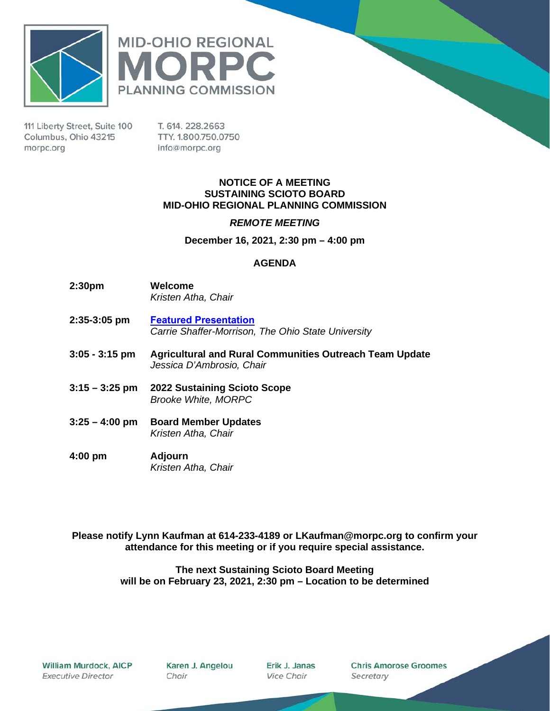



111 Liberty Street, Suite 100 Columbus, Ohio 43215 morpc.org

T. 614. 228.2663 TTY. 1.800.750.0750 info@morpc.org

### **NOTICE OF A MEETING SUSTAINING SCIOTO BOARD MID-OHIO REGIONAL PLANNING COMMISSION**

### *REMOTE MEETING*

**December 16, 2021, 2:30 pm – 4:00 pm**

### **AGENDA**

- **2:30pm Welcome** *Kristen Atha, Chair*
- **2:35-3:05 pm [Featured Presentation](https://morpc1-my.sharepoint.com/:v:/g/personal/lkaufman_morpc_org/Ee91AWK1byJAkZZ7Ttz21xMB8pQNonc28xZ2ZlEPY4pyuw?e=bqSrnn)**  *Carrie Shaffer-Morrison, The Ohio State University*
- **3:05 - 3:15 pm Agricultural and Rural Communities Outreach Team Update** *Jessica D'Ambrosio, Chair*
- **3:15 – 3:25 pm 2022 Sustaining Scioto Scope** *Brooke White, MORPC*
- **3:25 – 4:00 pm Board Member Updates** *Kristen Atha, Chair*
- **4:00 pm Adjourn** *Kristen Atha, Chair*

**Please notify Lynn Kaufman at 614-233-4189 or LKaufman@morpc.org to confirm your attendance for this meeting or if you require special assistance.**

> **The next Sustaining Scioto Board Meeting will be on February 23, 2021, 2:30 pm – Location to be determined**

Karen J. Angelou Chair

Erik J. Janas **Vice Chair** 

**Chris Amorose Groomes** Secretary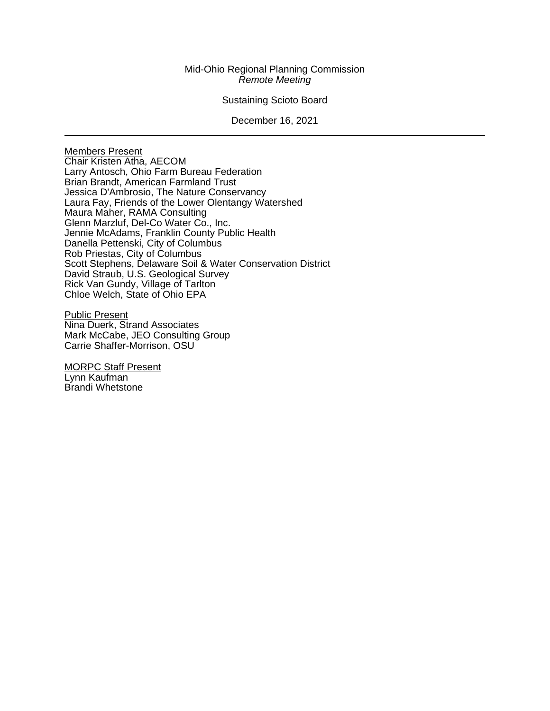### Mid-Ohio Regional Planning Commission *Remote Meeting*

### Sustaining Scioto Board

#### December 16, 2021

Members Present Chair Kristen Atha, AECOM Larry Antosch, Ohio Farm Bureau Federation Brian Brandt, American Farmland Trust Jessica D'Ambrosio, The Nature Conservancy Laura Fay, Friends of the Lower Olentangy Watershed Maura Maher, RAMA Consulting Glenn Marzluf, Del-Co Water Co., Inc. Jennie McAdams, Franklin County Public Health Danella Pettenski, City of Columbus Rob Priestas, City of Columbus Scott Stephens, Delaware Soil & Water Conservation District David Straub, U.S. Geological Survey Rick Van Gundy, Village of Tarlton Chloe Welch, State of Ohio EPA

Public Present Nina Duerk, Strand Associates Mark McCabe, JEO Consulting Group Carrie Shaffer-Morrison, OSU

MORPC Staff Present Lynn Kaufman Brandi Whetstone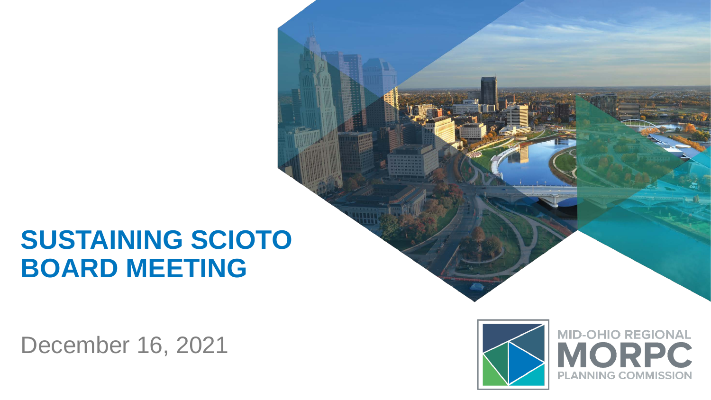# **SUSTAINING SCIOTO BOARD MEETING**

December 16, 2021



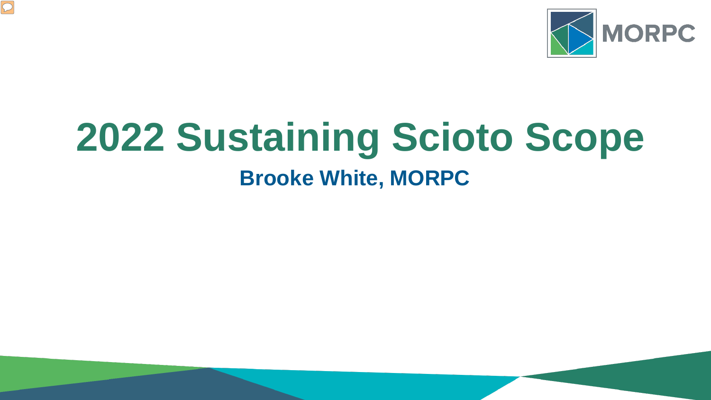

# **2022 Sustaining Scioto Scope Brooke White, MORPC**

 $\boxed{\bigcirc}$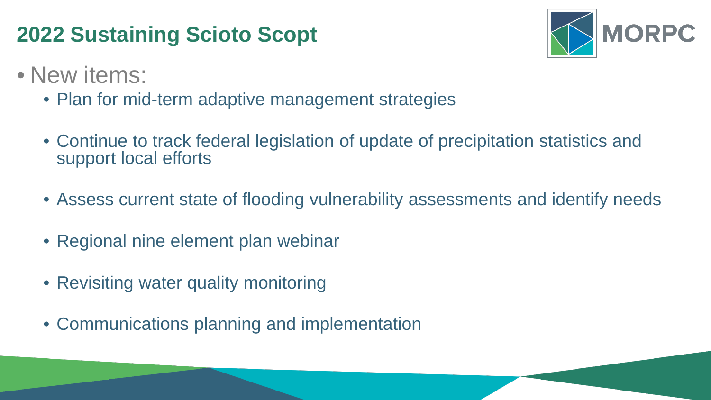## **2022 Sustaining Scioto Scopt**



- New items:
	- Plan for mid-term adaptive management strategies
	- Continue to track federal legislation of update of precipitation statistics and support local efforts
	- Assess current state of flooding vulnerability assessments and identify needs
	- Regional nine element plan webinar
	- Revisiting water quality monitoring
	- Communications planning and implementation